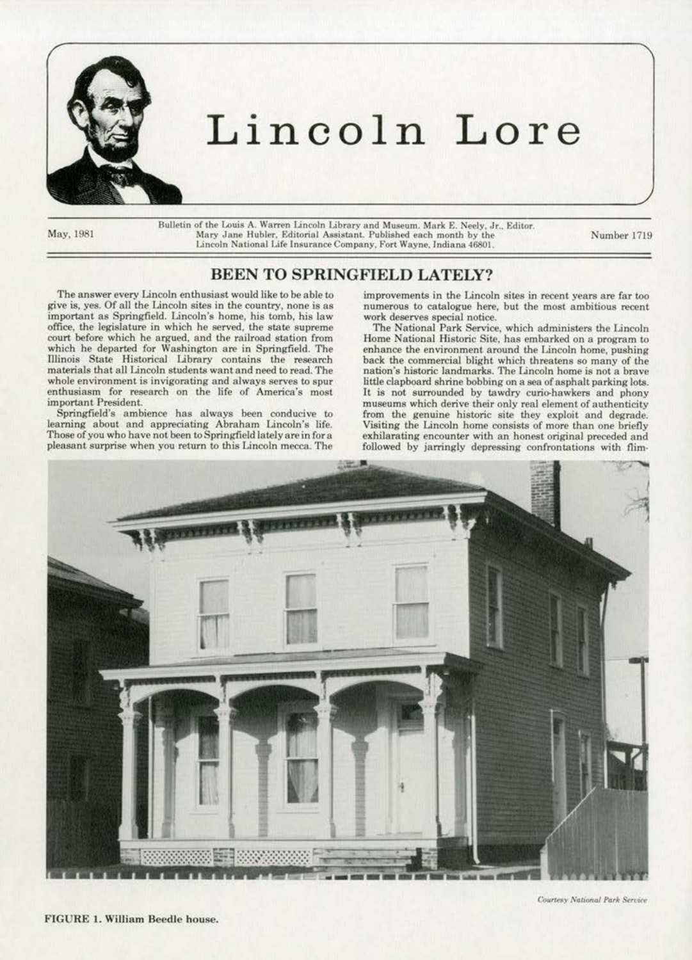

## Lincoln Lore

May, 1981

Bulletin of the Louis A. Warren Lincoln Library and Museum. Mark E. Neely, Jr., Editor.<br>Mary Jane Hubler. Editorial Assistant, Published each month by the Lincoln National Life Insurance Company, Fort Wayne, Indiana 46801.

Nwnber 1719

## BEEN TO SPRINGFIELD LATELY?

The answer every Lincoln enthusiast woutd like *to* be able to give is, yes. Of all the Lincoln sites in the country, none is as important as Springfield. Lincoln's home, his tomb, his law office, the legislature in which he served, the state supreme court before which he argued, and the railroad station from which he departed for Washington are in Springfield. The Illinois State Historical Library contains the research materials that all Lincoln students want and need to read. The whole environment is invigorating and always serves to spur enthusiasm for research on the tife of America's most important President.

Springfield's ambience has always been conducive to learning about and appreciating Abraham Lincoln's life.<br>Those of you who have not been to Springfield lately are in for a pleasant surprise when you return to this Lincoln mecca. The

improvements in the Lincoln sites in recent years are far too numerous to catalogue here, but the most ambitious recent. work deserves special notice.

The National Park Service, which administers the Lincoln Home National Historic Site, has embarked on a program to enhance the environment around the Lincoln home, pushing back the commercial blight which threatens so many of the nation's historic landmarks. The Lincoln home is not a brave little clapboard shrine bobbing on a sea of asphalt parking lots. It is not surrounded by tawdry curio-hawkers and phony museums which derive their only real element of authenticity from the genuine historic site they exploit and degrade. Visiting the Lincoln home consists of more than one briefly exhilarating encounter with an honest original preceded and followed by jarringly depressing confrontations with ffim·



Courtesy National Park Service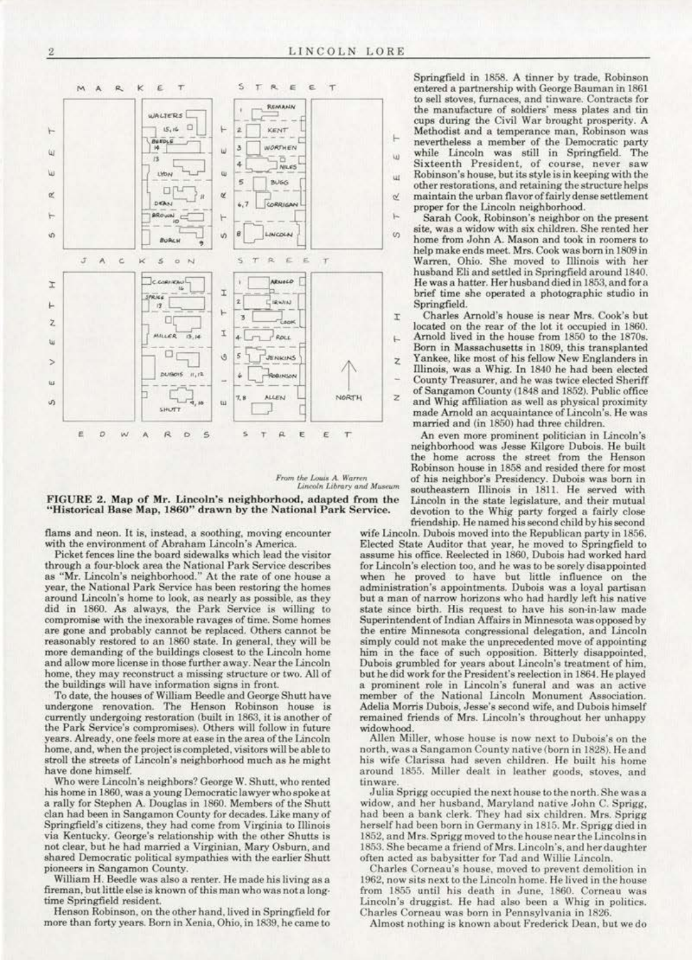





flams and neon. It is, instead, a soothing, moving encounter with the environment of Abraham Lincoln's America.

Picket fences line the board sidewalks which lead the visitor through a four-block area the National Park Service describes<br>as "Mr. Lincoln's neighborhood." At the rate of one house a year, the National Park Service has been restoring the homes around Lincoln's home to look, as nearly as possible, as they did in 1860. As always, the Park Service is willing to compromise with the inexorable ravages of time. Some homes are gone and probably cannot be replaced. Others cannot be reasonably restored to an 1860 state. In general, they will be more demanding of the buildings closest to the Lincoln home and allow more license in those further away. Near the Lincoln home, they may reconstruct a missing structure or two. All of the buildings will have information signs in front.

To date, the houses of William Beedle and George Shutt have undergone renovation. The Henson Robinson house is currently undergoing restoration (built in 1863, it is another of the Park Service's compromises). Others will follow in future years. Already, one feels more at ease in the area of the Lincoln home, and, when the project is completed, visitors will be able to stroll the streets of Lincoln's neighborhood much as he might have done himself.

Who were Lincoln's neighbors? George W. Shutt, who rented his home in 1860, was a young Democratic lawyer who spoke at a rally for Stephen A. Douglas in 1860. Members of the Shutt clan had been in Sangamon County for decades. Like many of Springfield's citizens, they had come from Virginia to Illinois via Kentucky. George's relationship with the other Shutts is not clear, but he had married a Virginian, Mary Osburn, and shared Democratic political sympathies with the earlier Shutt pioneers in Sangamon County.

William H. Beedle was also a renter. He made his living as a fireman, but little else is known of this man who was not a longtime Springfield resident.

Henson Robinson, on the other hand, lived in Springfield for more than forty years. Born in Xenia, Ohio, in 1839, he came to

Springfield in 1858. A tinner by trade, Robinson entered a partnership with George Bauman in 1861 to sell stoves, furnaces, and tinware. Contracts for the manufacture of soldiers' mess plates and tin cups during the Civil War brought prosperity. A Methodist and a temperance man, Robinson was nevertheless a member of the Democratic party<br>while Lincoln was still in Springfield. The Sixteenth President, of course, never saw Robinson's house, but its style is in keeping with the other restorations, and retaining the structure helps maintain the urban flavor of fairly dense settlement proper for the Lincoln neighborhood.

Sarah Cook, Robinson's neighbor on the present site, was a widow with six children. She rented her home from John A. Mason and took in roomers to help make ends meet. Mrs. Cook was born in 1809 in Warren, Ohio. She moved to Illinois with her husband Eli and settled in Springfield around 1840. He was a hatter. Her husband died in 1853, and for a brief time she operated a photographic studio in Springfield.

Charles Arnold's house is near Mrs. Cook's but located on the rear of the lot it occupied in 1860. Arnold lived in the house from 1850 to the 1870s. Born in Massachusetts in 1809, this transplanted Yankee, like most of his fellow New Englanders in Illinois, was a Whig. In 1840 he had been elected County Treasurer, and he was twice elected Sheriff

of Sangamon County (1848 and 1852). Public office and Whig affiliation as well as physical proximity made Arnold an acquaintance of Lincoln's. He was married and (in 1850) had three children.

An even more prominent politician in Lincoln's neighborhood was Jesse Kilgore Dubois. He built the home across the street from the Henson Robinson house in 1858 and resided there for most of his neighbor's Presidency. Dubois was born in southeastern Illinois in 1811. He served with Lincoln in the state legislature, and their mutual devotion to the Whig party forged a fairly close friendship. He named his second child by his second

wife Lincoln. Dubois moved into the Republican party in 1856. Elected State Auditor that year, he moved to Springfield to assume his office. Reelected in 1860, Dubois had worked hard for Lincoln's election too, and he was to be sorely disappointed when he proved to have but little influence on the administration's appointments. Dubois was a loyal partisan but a man of narrow horizons who had hardly left his native state since birth. His request to have his son-in-law made Superintendent of Indian Affairs in Minnesota was opposed by the entire Minnesota congressional delegation, and Lincoln simply could not make the unprecedented move of appointing him in the face of such opposition. Bitterly disappointed, Dubois grumbled for years about Lincoln's treatment of him. but he did work for the President's reelection in 1864. He played a prominent role in Lincoln's funeral and was an active member of the National Lincoln Monument Association. Adelia Morris Dubois, Jesse's second wife, and Dubois himself remained friends of Mrs. Lincoln's throughout her unhappy widowhood

Allen Miller, whose house is now next to Dubois's on the north, was a Sangamon County native (born in 1828). He and his wife Clarissa had seven children. He built his home around 1855. Miller dealt in leather goods, stoves, and tinware

Julia Sprigg occupied the next house to the north. She was a widow, and her husband, Maryland native John C. Sprigg. had been a bank clerk. They had six children. Mrs. Sprigg herself had been born in Germany in 1815. Mr. Sprigg died in 1852, and Mrs. Sprigg moved to the house near the Lincolns in 1853. She became a friend of Mrs. Lincoln's, and her daughter often acted as babysitter for Tad and Willie Lincoln.

Charles Corneau's house, moved to prevent demolition in 1962, now sits next to the Lincoln home. He lived in the house from 1855 until his death in June, 1860. Corneau was Lincoln's druggist. He had also been a Whig in politics. Charles Corneau was born in Pennsylvania in 1826.

Almost nothing is known about Frederick Dean, but we do

 $\rm{2}$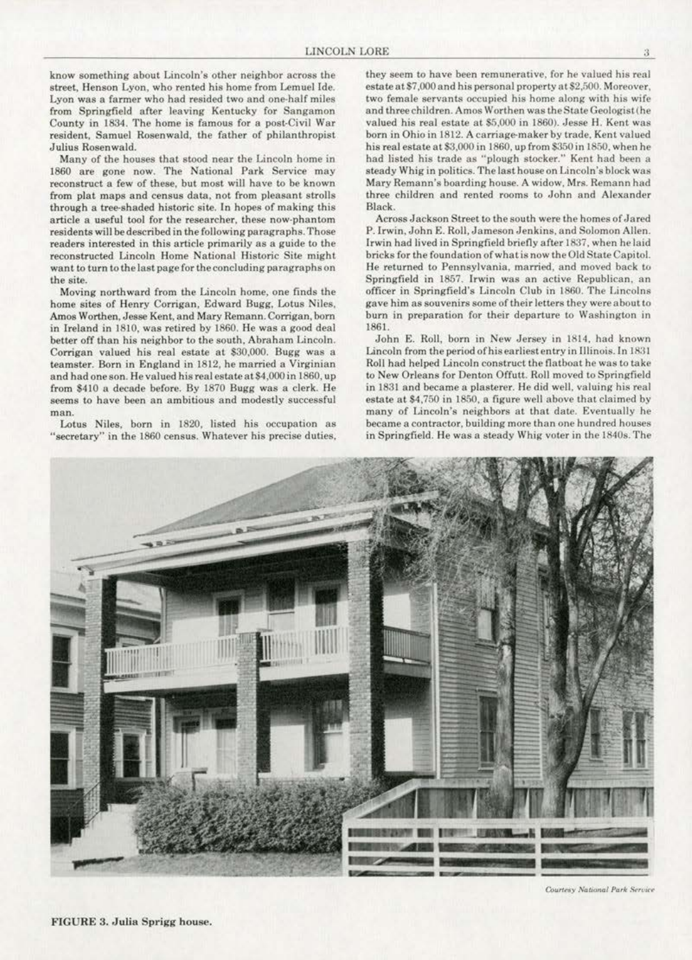know something about Lincoln's other neighbor across the street, Henson Lyon. who rented his home from Lemuel Ide. Lyon was a farmer who had resided two and one-half miles from Springfield after leaving Kentucky for Sangamon County in 1834. The home is famous for a post-Civil War resident. Samuel Rosenwald, the father of philanthropist Julius Rosenwald.

Many of the houses that stood near the Lincoln home in 1860 are gone now. The National Park Service may reconstruct a few of these, but most will have to be known from plat maps and census data, not from pleasant strolls through a tree-shaded historic site. In hopes of making this article a useful tool for the researeher, these now-phantom residents will be described in the following paragraphs. Those readers interested in this article primarily as a guide to the reconstructed Lincoln Home National Historic Site might want to turn to the last page for the concluding paragraphs on the site.

Moving northward from the Lincoln home, one finds the home sites of Henry Corrigan, Edward Bugg, Lotus Niles. Amos Worthen, Jesse Kent, and Mary Remann. Corrigan, born in Ireland in 1810, was retired by 1860. He was a good deal better off than his neighbor to the south, Abraham Lincoln. Corrigan valued his real estate at \$30.000. Bugg was a teamster. Born in England in 1812, he married a Virginian and hadoneson. He valued his real estateat\$4,000in 1860, up from \$410 a decade before. By 1870 Bugg was a clerk. He seems to have been an ambitious and modestly successful man.

Lotus Niles, born in 1820, listed his occupation as "secretary" in the 1860 census. Whatever his precise duties,

they seem to have been remunerative. for he valued his real estate at \$7,000 and his personal property at \$2,500. Moreover, two female servants occupied his home along with his wife and three children. Amos Worthen was the State Geologist (he valued his real estate at \$5,000 in 1860). Jesse H. Kent was born in Ohio in 1812. A carriage-maker by trade, Kent valued his real estate at \$3,000 in 1860, up from \$350 in 1850, when he had listed his trade as "plough stocker." Kent had been a steady Whig in politics. The last house on Lincoln's block was Mary Remann's boarding house. A widow, Mrs. Remann had three children and rented rooms to John and Alexander Black.

Across Jackson Street to the south were the homes of Jared P.lrwin, John E. Roll. Jameson Jenkins. and Solomon Allen. Irwin had lived in Springfield briefly after 1837, when he laid bricks for the foundation of what is now the Old State Capitol. He returned to Pennsylvania, married, and moved back to Springfield in 1857. Irwin was an active Republican, an officer in Springfield 's Lincoln Club in 1860. The Lincolns gave him as souvenirs some of their letters they were about to burn in preparation for their departure to Washington in 1861.

John E. Roll, born in New Jersey in 1814, had known Lincoln from the period of his earliest entry in Illinois. In 1831 Roll had helped Lincoln construct the flatboat he was to take to New Orleans for Denton Offutt. Roll moved to Springfield in 1831 and became a plasterer. He did well, valuing his real estate at \$4.750 in 1850, a figure well above that claimed by many of Lincoln's neighbors at that date. Eventually he became a contractor, building more than one hundred houses in Springfield. He was a steady Whig voter in the 1840s. The



Courtesy National Park Service